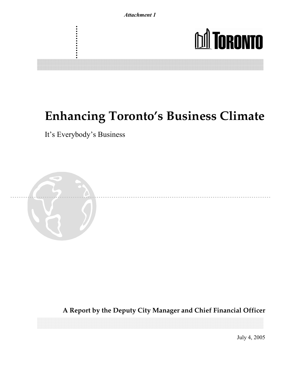

# **Enhancing Toronto's Business Climate**

It's Everybody's Business



**A Report by the Deputy City Manager and Chief Financial Officer**

July 4, 2005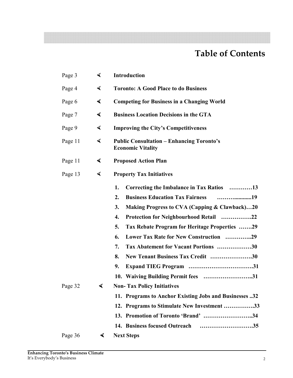## **Table of Contents**

| Page 3  | ◀                    | <b>Introduction</b>                                                                                                                                                                                                                                                                                                                                                                                                                                 |
|---------|----------------------|-----------------------------------------------------------------------------------------------------------------------------------------------------------------------------------------------------------------------------------------------------------------------------------------------------------------------------------------------------------------------------------------------------------------------------------------------------|
| Page 4  | $\blacktriangleleft$ | <b>Toronto: A Good Place to do Business</b>                                                                                                                                                                                                                                                                                                                                                                                                         |
| Page 6  | ◀                    | <b>Competing for Business in a Changing World</b>                                                                                                                                                                                                                                                                                                                                                                                                   |
| Page 7  | ◀                    | <b>Business Location Decisions in the GTA</b>                                                                                                                                                                                                                                                                                                                                                                                                       |
| Page 9  | ◀                    | <b>Improving the City's Competitiveness</b>                                                                                                                                                                                                                                                                                                                                                                                                         |
| Page 11 | ◀                    | <b>Public Consultation – Enhancing Toronto's</b><br><b>Economic Vitality</b>                                                                                                                                                                                                                                                                                                                                                                        |
| Page 11 | ◀                    | <b>Proposed Action Plan</b>                                                                                                                                                                                                                                                                                                                                                                                                                         |
| Page 13 | ◀                    | <b>Property Tax Initiatives</b>                                                                                                                                                                                                                                                                                                                                                                                                                     |
|         |                      | 1.<br>Correcting the Imbalance in Tax Ratios 13<br><b>Business Education Tax Fairness</b><br>2.<br>3.<br>Making Progress to CVA (Capping & Clawback)20<br>4.<br>Protection for Neighbourhood Retail 22<br>5.<br>Tax Rebate Program for Heritage Properties 29<br>Lower Tax Rate for New Construction 29<br>6.<br>7.<br>Tax Abatement for Vacant Portions 30<br>8.<br>New Tenant Business Tax Credit 30<br>9.<br>10. Waiving Building Permit fees 31 |
| Page 32 | ◀                    | <b>Non-Tax Policy Initiatives</b><br>11. Programs to Anchor Existing Jobs and Businesses 32<br>12. Programs to Stimulate New Investment 33<br>13. Promotion of Toronto 'Brand' 34                                                                                                                                                                                                                                                                   |
| Page 36 | $\blacktriangleleft$ | <b>Next Steps</b>                                                                                                                                                                                                                                                                                                                                                                                                                                   |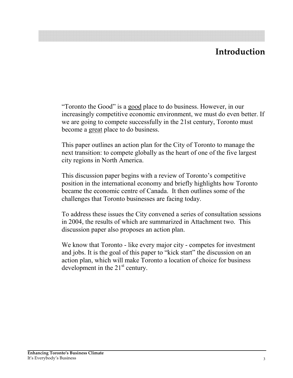## Introduction

"Toronto the Good" is a good place to do business. However, in our increasingly competitive economic environment, we must do even better. If we are going to compete successfully in the 21st century, Toronto must become a great place to do business.

This paper outlines an action plan for the City of Toronto to manage the next transition: to compete globally as the heart of one of the five largest city regions in North America.

This discussion paper begins with a review of Toronto's competitive position in the international economy and briefly highlights how Toronto became the economic centre of Canada. It then outlines some of the challenges that Toronto businesses are facing today.

To address these issues the City convened a series of consultation sessions in 2004, the results of which are summarized in Attachment two. This discussion paper also proposes an action plan.

We know that Toronto - like every major city - competes for investment and jobs. It is the goal of this paper to "kick start" the discussion on an action plan, which will make Toronto a location of choice for business development in the  $21<sup>st</sup>$  century.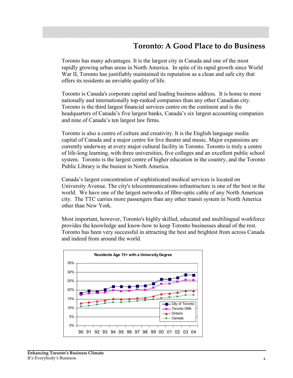## **Toronto: A Good Place to do Business**

Toronto has many advantages. It is the largest city in Canada and one of the most rapidly growing urban areas in North America. In spite of its rapid growth since World War II, Toronto has justifiably maintained its reputation as a clean and safe city that offers its residents an enviable quality of life.

Toronto is Canada's corporate capital and leading business address. It is home to more nationally and internationally top-ranked companies than any other Canadian city. Toronto is the third largest financial services centre on the continent and is the headquarters of Canada's five largest banks, Canada's six largest accounting companies and nine of Canada's ten largest law firms.

Toronto is also a centre of culture and creativity. It is the English language media capital of Canada and a major centre for live theatre and music. Major expansions are currently underway at every major cultural facility in Toronto. Toronto is truly a centre of life-long learning, with three universities, five colleges and an excellent public school system. Toronto is the largest centre of higher education in the country, and the Toronto Public Library is the busiest in North America.

Canada's largest concentration of sophisticated medical services is located on University Avenue. The city's telecommunications infrastructure is one of the best in the world. We have one of the largest networks of fibre-optic cable of any North American city. The TTC carries more passengers than any other transit system in North America other than New York

Most important, however, Toronto's highly skilled, educated and multilingual workforce provides the knowledge and know-how to keep Toronto businesses ahead of the rest. Toronto has been very successful in attracting the best and brightest from across Canada and indeed from around the world.

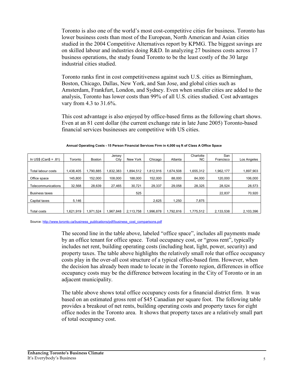Toronto is also one of the world's most cost-competitive cities for business. Toronto has lower business costs than most of the European, North American and Asian cities studied in the 2004 Competitive Alternatives report by KPMG. The biggest savings are on skilled labour and industries doing R&D. In analyzing 27 business costs across 17 business operations, the study found Toronto to be the least costly of the 30 large industrial cities studied.

Toronto ranks first in cost competitiveness against such U.S. cities as Birmingham, Boston, Chicago, Dallas, New York, and San Jose, and global cities such as Amsterdam, Frankfurt, London, and Sydney. Even when smaller cities are added to the analysis, Toronto has lower costs than 99% of all U.S. cities studied. Cost advantages vary from 4.3 to 31.6%.

This cost advantage is also enjoyed by office-based firms as the following chart shows. Even at an 81 cent dollar (the current exchange rate in late June 2005) Toronto-based financial services businesses are competitive with US cities.

|                          |           |          | Jersey    |           |           |           | Charlotte<br><b>NC</b> | San       |             |
|--------------------------|-----------|----------|-----------|-----------|-----------|-----------|------------------------|-----------|-------------|
| In US\$ (Can\$ = $.81$ ) | Toronto   | Boston   | City      | New York  | Chicago   | Atlanta   |                        | Francisco | Los Angeles |
|                          |           |          |           |           |           |           |                        |           |             |
| Total labour costs       | 1.438.405 | .790.885 | 1.832.383 | .894.512  | 1.812.916 | 1.674.508 | .655.312               | 1,962,177 | ,897,903    |
| Office space             | 145.800   | 152.000  | 108,000   | 188.000   | 152.000   | 88.000    | 84,000                 | 120,000   | 106,000     |
| Telecommunications       | 32.568    | 28.639   | 27.465    | 30,721    | 29,337    | 29.058    | 28,325                 | 28.524    | 28,573      |
| <b>Business taxes</b>    |           |          |           | 525       |           |           |                        | 22,837    | 70,920      |
| Capital taxes            | 5,146     |          |           |           | 2,625     | 1,250     | 7,875                  |           |             |
|                          |           |          |           |           |           |           |                        |           |             |
| Total costs              | 1.621.919 | .971.524 | 1.967.848 | 2.113.758 | 1.996.878 | .792.816  | 1.775.512              | 2.133.538 | 2.103.396   |

Annual Operating Costs - 15 Person Financial Services Firm in 4,000 sq ft of Class A Office Space

Source: http://www.toronto.ca/business\_publications/pdf/business\_cost\_comparisons.pdf

The second line in the table above, labeled "office space", includes all payments made by an office tenant for office space. Total occupancy cost, or "gross rent", typically includes net rent, building operating costs (including heat, light, power, security) and property taxes. The table above highlights the relatively small role that office occupancy costs play in the over-all cost structure of a typical office-based firm. However, when the decision has already been made to locate in the Toronto region, differences in office occupancy costs may be the difference between locating in the City of Toronto or in an adjacent municipality.

The table above shows total office occupancy costs for a financial district firm. It was based on an estimated gross rent of \$45 Canadian per square foot. The following table provides a breakout of net rents, building operating costs and property taxes for eight office nodes in the Toronto area. It shows that property taxes are a relatively small part of total occupancy cost.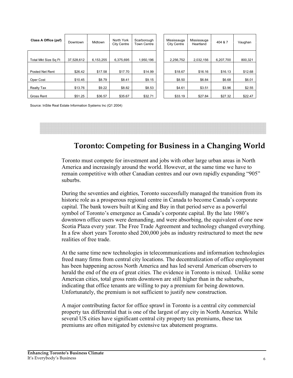| Class A Office (psf) | Downtown   | Midtown   | North York<br><b>City Centre</b> | Scarborough<br><b>Town Centre</b> | Mississauga<br><b>City Centre</b> | Mississauga<br>Heartland | 404 & 7   | Vaughan |
|----------------------|------------|-----------|----------------------------------|-----------------------------------|-----------------------------------|--------------------------|-----------|---------|
| Total Mkt Size Sq Ft | 37,528,612 | 6,153,255 | 6,375,695                        | 1,950,196                         | 2.256.752                         | 2,032,156                | 6,207,700 | 800,321 |
|                      |            |           |                                  |                                   |                                   |                          |           |         |
| Posted Net Rent      | \$26.42    | \$17.58   | \$17.70                          | \$14.99                           | \$18.67                           | \$16.16                  | \$16.13   | \$12.68 |
| Oper Cost            | \$10.45    | \$8.79    | \$8.41                           | \$9.15                            | \$8.50                            | \$6.84                   | \$6.68    | \$6.01  |
| Realty Tax           | \$13.76    | \$9.22    | \$8.82                           | \$8.53                            | \$4.61                            | \$3.51                   | \$3.96    | \$2.55  |
| Gross Rent           | \$51.25    | \$36.57   | \$35.67                          | \$32.71                           | \$33.19                           | \$27.84                  | \$27.32   | \$22.47 |

Source: InSite Real Estate Information Systems Inc (Q1 2004)

## Toronto: Competing for Business in a Changing World

Toronto must compete for investment and jobs with other large urban areas in North America and increasingly around the world. However, at the same time we have to remain competitive with other Canadian centres and our own rapidly expanding "905" suburbs.

During the seventies and eighties, Toronto successfully managed the transition from its historic role as a prosperous regional centre in Canada to become Canada's corporate capital. The bank towers built at King and Bay in that period serve as a powerful symbol of Toronto's emergence as Canada's corporate capital. By the late 1980's downtown office users were demanding, and were absorbing, the equivalent of one new Scotia Plaza every year. The Free Trade Agreement and technology changed everything. In a few short years Toronto shed 200,000 jobs as industry restructured to meet the new realities of free trade.

At the same time new technologies in telecommunications and information technologies freed many firms from central city locations. The decentralization of office employment has been happening across North America and has led several American observers to herald the end of the era of great cities. The evidence in Toronto is mixed. Unlike some American cities, total gross rents downtown are still higher than in the suburbs, indicating that office tenants are willing to pay a premium for being downtown. Unfortunately, the premium is not sufficient to justify new construction.

A major contributing factor for office sprawl in Toronto is a central city commercial property tax differential that is one of the largest of any city in North America. While several US cities have significant central city property tax premiums, these tax premiums are often mitigated by extensive tax abatement programs.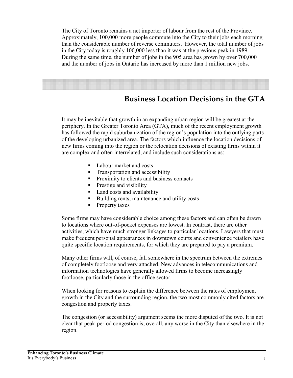The City of Toronto remains a net importer of labour from the rest of the Province. Approximately, 100,000 more people commute into the City to their jobs each morning than the considerable number of reverse commuters. However, the total number of jobs in the City today is roughly 100,000 less than it was at the previous peak in 1989. During the same time, the number of jobs in the 905 area has grown by over 700,000 and the number of jobs in Ontario has increased by more than 1 million new jobs.

## **Business Location Decisions in the GTA**

It may be inevitable that growth in an expanding urban region will be greatest at the periphery. In the Greater Toronto Area (GTA), much of the recent employment growth has followed the rapid suburbanization of the region's population into the outlying parts of the developing urbanized area. The factors which influence the location decisions of new firms coming into the region or the relocation decisions of existing firms within it are complex and often interrelated, and include such considerations as:

- Labour market and costs  $\blacksquare$
- Transportation and accessibility
- Proximity to clients and business contacts
- Prestige and visibility
- Land costs and availability
- Building rents, maintenance and utility costs
- Property taxes

Some firms may have considerable choice among these factors and can often be drawn to locations where out-of-pocket expenses are lowest. In contrast, there are other activities, which have much stronger linkages to particular locations. Lawyers that must make frequent personal appearances in downtown courts and convenience retailers have quite specific location requirements, for which they are prepared to pay a premium.

Many other firms will, of course, fall somewhere in the spectrum between the extremes of completely footloose and very attached. New advances in telecommunications and information technologies have generally allowed firms to become increasingly footloose, particularly those in the office sector.

When looking for reasons to explain the difference between the rates of employment growth in the City and the surrounding region, the two most commonly cited factors are congestion and property taxes.

The congestion (or accessibility) argument seems the more disputed of the two. It is not clear that peak-period congestion is, overall, any worse in the City than elsewhere in the region.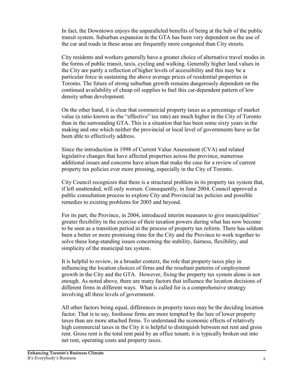In fact, the Downtown enjoys the unparalleled benefits of being at the hub of the public transit system. Suburban expansion in the GTA has been very dependent on the use of the car and roads in these areas are frequently more congested than City streets.

City residents and workers generally have a greater choice of alternative travel modes in the forms of public transit, taxis, cycling and walking. Generally higher land values in the City are partly a reflection of higher levels of accessibility and this may be a particular force in sustaining the above average prices of residential properties in Toronto. The future of strong suburban growth remains dangerously dependent on the continued availability of cheap oil supplies to fuel this car-dependent pattern of low density urban development.

On the other hand, it is clear that commercial property taxes as a percentage of market value (a ratio known as the "effective" tax rate) are much higher in the City of Toronto than in the surrounding GTA. This is a situation that has been some sixty years in the making and one which neither the provincial or local level of governments have so far been able to effectively address.

Since the introduction in 1998 of Current Value Assessment (CVA) and related legislative changes that have affected properties across the province, numerous additional issues and concerns have arisen that make the case for a review of current property tax policies ever more pressing, especially in the City of Toronto.

City Council recognizes that there is a structural problem in its property tax system that, if left unattended, will only worsen. Consequently, in June 2004, Council approved a public consultation process to explore City and Provincial tax policies and possible remedies to existing problems for 2005 and beyond.

For its part, the Province, in 2004, introduced interim measures to give municipalities' greater flexibility in the exercise of their taxation powers during what has now become to be seen as a transition period in the process of property tax reform. There has seldom been a better or more promising time for the City and the Province to work together to solve these long-standing issues concerning the stability, fairness, flexibility, and simplicity of the municipal tax system.

It is helpful to review, in a broader context, the role that property taxes play in influencing the location choices of firms and the resultant patterns of employment growth in the City and the GTA. However, fixing the property tax system alone is not enough. As noted above, there are many factors that influence the location decisions of different firms in different ways. What is called for is a comprehensive strategy involving all three levels of government.

All other factors being equal, differences in property taxes may be the deciding location factor. That is to say, footloose firms are more tempted by the lure of lower property taxes than are more attached firms. To understand the economic effects of relatively high commercial taxes in the City it is helpful to distinguish between net rent and gross rent. Gross rent is the total rent paid by an office tenant; it is typically broken out into net rent, operating costs and property taxes.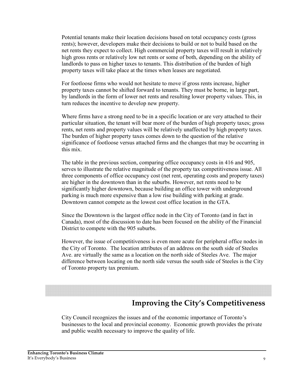Potential tenants make their location decisions based on total occupancy costs (gross) rents); however, developers make their decisions to build or not to build based on the net rents they expect to collect. High commercial property taxes will result in relatively high gross rents or relatively low net rents or some of both, depending on the ability of landlords to pass on higher taxes to tenants. This distribution of the burden of high property taxes will take place at the times when leases are negotiated.

For footloose firms who would not hesitate to move if gross rents increase, higher property taxes cannot be shifted forward to tenants. They must be borne, in large part, by landlords in the form of lower net rents and resulting lower property values. This, in turn reduces the incentive to develop new property.

Where firms have a strong need to be in a specific location or are very attached to their particular situation, the tenant will bear more of the burden of high property taxes; gross rents, net rents and property values will be relatively unaffected by high property taxes. The burden of higher property taxes comes down to the question of the relative significance of footloose versus attached firms and the changes that may be occurring in this mix

The table in the previous section, comparing office occupancy costs in 416 and 905, serves to illustrate the relative magnitude of the property tax competitiveness issue. All three components of office occupancy cost (net rent, operating costs and property taxes) are higher in the downtown than in the suburbs. However, net rents need to be significantly higher downtown, because building an office tower with underground parking is much more expensive than a low rise building with parking at grade. Downtown cannot compete as the lowest cost office location in the GTA.

Since the Downtown is the largest office node in the City of Toronto (and in fact in Canada), most of the discussion to date has been focused on the ability of the Financial District to compete with the 905 suburbs.

However, the issue of competitiveness is even more acute for peripheral office nodes in the City of Toronto. The location attributes of an address on the south side of Steeles Ave. are virtually the same as a location on the north side of Steeles Ave. The major difference between locating on the north side versus the south side of Steeles is the City of Toronto property tax premium.

## **Improving the City's Competitiveness**

City Council recognizes the issues and of the economic importance of Toronto's businesses to the local and provincial economy. Economic growth provides the private and public wealth necessary to improve the quality of life.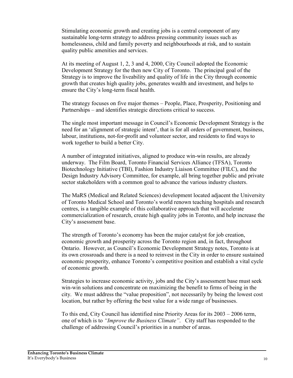Stimulating economic growth and creating jobs is a central component of any sustainable long-term strategy to address pressing community issues such as homelessness, child and family poverty and neighbourhoods at risk, and to sustain quality public amenities and services.

At its meeting of August 1, 2, 3 and 4, 2000, City Council adopted the Economic Development Strategy for the then new City of Toronto. The principal goal of the Strategy is to improve the liveability and quality of life in the City through economic growth that creates high quality jobs, generates wealth and investment, and helps to ensure the City's long-term fiscal health.

The strategy focuses on five major themes – People, Place, Prosperity, Positioning and Partnerships – and identifies strategic directions critical to success.

The single most important message in Council's Economic Development Strategy is the need for an 'alignment of strategic intent', that is for all orders of government, business, labour, institutions, not-for-profit and volunteer sector, and residents to find ways to work together to build a better City.

A number of integrated initiatives, aligned to produce win-win results, are already underway. The Film Board, Toronto Financial Services Alliance (TFSA), Toronto Biotechnology Initiative (TBI), Fashion Industry Liaison Committee (FILC), and the Design Industry Advisory Committee, for example, all bring together public and private sector stakeholders with a common goal to advance the various industry clusters.

The MaRS (Medical and Related Sciences) development located adjacent the University of Toronto Medical School and Toronto's world renown teaching hospitals and research centres, is a tangible example of this collaborative approach that will accelerate commercialization of research, create high quality jobs in Toronto, and help increase the City's assessment base.

The strength of Toronto's economy has been the major catalyst for job creation, economic growth and prosperity across the Toronto region and, in fact, throughout Ontario. However, as Council's Economic Development Strategy notes. Toronto is at its own crossroads and there is a need to reinvest in the City in order to ensure sustained economic prosperity, enhance Toronto's competitive position and establish a vital cycle of economic growth.

Strategies to increase economic activity, jobs and the City's assessment base must seek win-win solutions and concentrate on maximizing the benefit to firms of being in the city. We must address the "value proposition", not necessarily by being the lowest cost location, but rather by offering the best value for a wide range of businesses.

To this end, City Council has identified nine Priority Areas for its 2003 – 2006 term, one of which is to "Improve the Business Climate". City staff has responded to the challenge of addressing Council's priorities in a number of areas.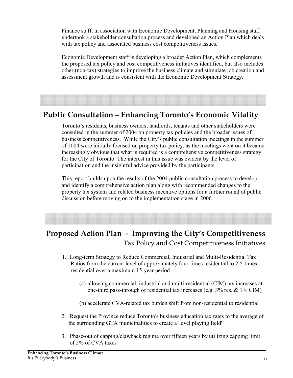Finance staff, in association with Economic Development, Planning and Housing staff undertook a stakeholder consultation process and developed an Action Plan which deals with tax policy and associated business cost competitiveness issues.

Economic Development staff is developing a broader Action Plan, which complements the proposed tax policy and cost competitiveness initiatives identified, but also includes other (non-tax) strategies to improve the business climate and stimulate job creation and assessment growth and is consistent with the Economic Development Strategy.

## **Public Consultation - Enhancing Toronto's Economic Vitality**

Toronto's residents, business owners, landlords, tenants and other stakeholders were consulted in the summer of 2004 on property tax policies and the broader issues of business competitiveness. While the City's public consultation meetings in the summer of 2004 were initially focused on property tax policy, as the meetings went on it became increasingly obvious that what is required is a comprehensive competitiveness strategy for the City of Toronto. The interest in this issue was evident by the level of participation and the insightful advice provided by the participants.

This report builds upon the results of the 2004 public consultation process to develop and identify a comprehensive action plan along with recommended changes to the property tax system and related business incentive options for a further round of public discussion before moving on to the implementation stage in 2006.

## Proposed Action Plan - Improving the City's Competitiveness Tax Policy and Cost Competitiveness Initiatives

- 1. Long-term Strategy to Reduce Commercial, Industrial and Multi-Residential Tax Ratios from the current level of approximately four-times residential to 2.5-times residential over a maximum 15-year period
	- (a) allowing commercial, industrial and multi-residential (CIM) tax increases at one-third pass-through of residential tax increases (e.g.  $3\%$  res. &  $1\%$  CIM)
	- (b) accelerate CVA-related tax burden shift from non-residential to residential
- 2. Request the Province reduce Toronto's business education tax rates to the average of the surrounding GTA municipalities to create a 'level playing field'
- 3. Phase-out of capping/clawback regime over fifteen years by utilizing capping limit of 5% of CVA taxes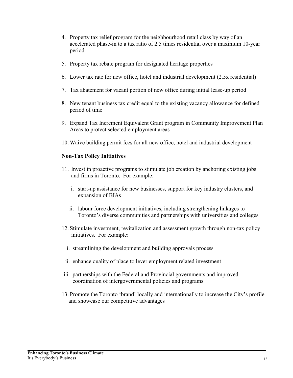- 4. Property tax relief program for the neighbourhood retail class by way of an accelerated phase-in to a tax ratio of 2.5 times residential over a maximum 10-year period
- 5. Property tax rebate program for designated heritage properties
- 6. Lower tax rate for new office, hotel and industrial development (2.5x residential)
- 7. Tax abatement for vacant portion of new office during initial lease-up period
- 8. New tenant business tax credit equal to the existing vacancy allowance for defined period of time
- 9. Expand Tax Increment Equivalent Grant program in Community Improvement Plan Areas to protect selected employment areas
- 10. Waive building permit fees for all new office, hotel and industrial development

### **Non-Tax Policy Initiatives**

- 11. Invest in proactive programs to stimulate job creation by anchoring existing jobs and firms in Toronto. For example:
	- i. start-up assistance for new businesses, support for key industry clusters, and expansion of BIAs
	- ii. labour force development initiatives, including strengthening linkages to Toronto's diverse communities and partnerships with universities and colleges
- 12. Stimulate investment, revitalization and assessment growth through non-tax policy initiatives. For example:
	- i. streamlining the development and building approvals process
	- ii. enhance quality of place to lever employment related investment
- iii. partnerships with the Federal and Provincial governments and improved coordination of intergovernmental policies and programs
- 13. Promote the Toronto 'brand' locally and internationally to increase the City's profile and showcase our competitive advantages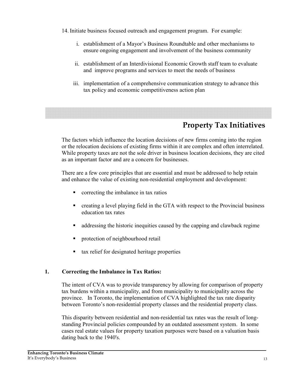- 14. Initiate business focused outreach and engagement program. For example:
	- i. establishment of a Mayor's Business Roundtable and other mechanisms to ensure ongoing engagement and involvement of the business community
	- ii. establishment of an Interdivisional Economic Growth staff team to evaluate and improve programs and services to meet the needs of business
	- iii. implementation of a comprehensive communication strategy to advance this tax policy and economic competitiveness action plan

## **Property Tax Initiatives**

The factors which influence the location decisions of new firms coming into the region or the relocation decisions of existing firms within it are complex and often interrelated. While property taxes are not the sole driver in business location decisions, they are cited as an important factor and are a concern for businesses.

There are a few core principles that are essential and must be addressed to help retain and enhance the value of existing non-residential employment and development:

- correcting the imbalance in tax ratios  $\blacksquare$
- $\blacksquare$ creating a level playing field in the GTA with respect to the Provincial business education tax rates
- $\blacksquare$ addressing the historic inequities caused by the capping and clawback regime
- protection of neighbourhood retail
- tax relief for designated heritage properties ×,

#### $1<sub>1</sub>$ **Correcting the Imbalance in Tax Ratios:**

The intent of CVA was to provide transparency by allowing for comparison of property tax burdens within a municipality, and from municipality to municipality across the province. In Toronto, the implementation of CVA highlighted the tax rate disparity between Toronto's non-residential property classes and the residential property class.

This disparity between residential and non-residential tax rates was the result of longstanding Provincial policies compounded by an outdated assessment system. In some cases real estate values for property taxation purposes were based on a valuation basis dating back to the 1940's.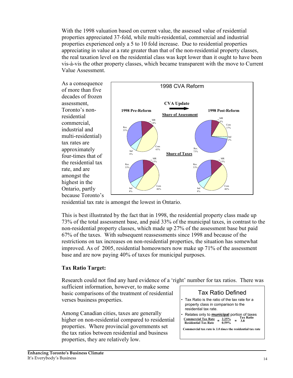With the 1998 valuation based on current value, the assessed value of residential properties appreciated 37-fold, while multi-residential, commercial and industrial properties experienced only a 5 to 10 fold increase. Due to residential properties appreciating in value at a rate greater than that of the non-residential property classes. the real taxation level on the residential class was kept lower than it ought to have been vis-à-vis the other property classes, which became transparent with the move to Current Value Assessment.

As a consequence of more than five decades of frozen assessment. Toronto's nonresidential commercial. industrial and multi-residential) tax rates are approximately four-times that of the residential tax rate, and are amongst the highest in the Ontario, partly because Toronto's



residential tax rate is amongst the lowest in Ontario.

This is best illustrated by the fact that in 1998, the residential property class made up 73% of the total assessment base, and paid 33% of the municipal taxes, in contrast to the non-residential property classes, which made up 27% of the assessment base but paid 67% of the taxes. With subsequent reassessments since 1998 and because of the restrictions on tax increases on non-residential properties, the situation has somewhat improved. As of 2005, residential homeowners now make up 71% of the assessment base and are now paying 40% of taxes for municipal purposes.

### **Tax Ratio Target:**

Research could not find any hard evidence of a 'right' number for tax ratios. There was

sufficient information, however, to make some basic comparisons of the treatment of residential verses business properties.

Among Canadian cities, taxes are generally higher on non-residential compared to residential properties. Where provincial governments set the tax ratios between residential and business properties, they are relatively low.

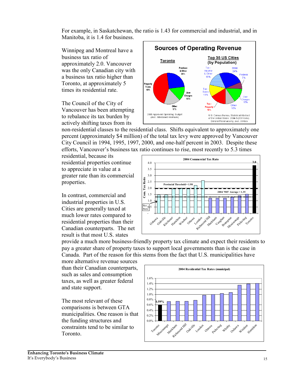For example, in Saskatchewan, the ratio is 1.43 for commercial and industrial, and in Manitoba, it is 1.4 for business.

Winnipeg and Montreal have a business tax ratio of approximately 2.0. Vancouver was the only Canadian city with a business tax ratio higher than Toronto, at approximately 5 times its residential rate

The Council of the City of Vancouver has been attempting to rebalance its tax burden by actively shifting taxes from its



non-residential classes to the residential class. Shifts equivalent to approximately one percent (approximately \$4 million) of the total tax levy were approved by Vancouver City Council in 1994, 1995, 1997, 2000, and one-half percent in 2003. Despite these efforts. Vancouver's business tax ratio continues to rise, most recently to 5.3 times

residential, because its residential properties continue to appreciate in value at a greater rate than its commercial properties.

In contrast, commercial and industrial properties in U.S. Cities are generally taxed at much lower rates compared to residential properties than their Canadian counterparts. The net result is that most U.S. states



provide a much more business-friendly property tax climate and expect their residents to pay a greater share of property taxes to support local governments than is the case in Canada. Part of the reason for this stems from the fact that U.S. municipalities have

more alternative revenue sources than their Canadian counterparts, such as sales and consumption taxes, as well as greater federal and state support.

The most relevant of these comparisons is between GTA municipalities. One reason is that the funding structures and constraints tend to be similar to Toronto.

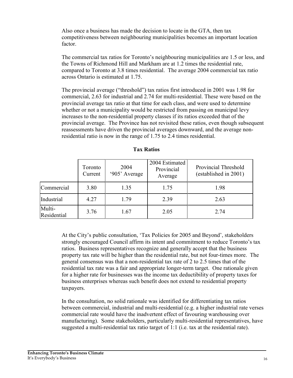Also once a business has made the decision to locate in the GTA, then tax competitiveness between neighbouring municipalities becomes an important location factor.

The commercial tax ratios for Toronto's neighbouring municipalities are 1.5 or less, and the Towns of Richmond Hill and Markham are at 1.2 times the residential rate, compared to Toronto at 3.8 times residential. The average 2004 commercial tax ratio across Ontario is estimated at 1.75.

The provincial average ("threshold") tax ratios first introduced in 2001 was 1.98 for commercial, 2.63 for industrial and 2.74 for multi-residential. These were based on the provincial average tax ratio at that time for each class, and were used to determine whether or not a municipality would be restricted from passing on municipal levy increases to the non-residential property classes if its ratios exceeded that of the provincial average. The Province has not revisited these ratios, even though subsequent reassessments have driven the provincial averages downward, and the average nonresidential ratio is now in the range of 1.75 to 2.4 times residential.

|                       | Toronto<br>Current | 2004<br>'905' Average | 2004 Estimated<br>Provincial<br>Average | Provincial Threshold<br>(established in 2001) |
|-----------------------|--------------------|-----------------------|-----------------------------------------|-----------------------------------------------|
| Commercial            | 3.80               | 1.35                  | 1.75                                    | 1.98                                          |
| Industrial            | 4.27               | 1.79                  | 2.39                                    | 2.63                                          |
| Multi-<br>Residential | 3.76               | 1.67                  | 2.05                                    | 2.74                                          |

### **Tax Ratios**

At the City's public consultation, 'Tax Policies for 2005 and Beyond', stakeholders strongly encouraged Council affirm its intent and commitment to reduce Toronto's tax ratios. Business representatives recognize and generally accept that the business property tax rate will be higher than the residential rate, but not four-times more. The general consensus was that a non-residential tax rate of 2 to 2.5 times that of the residential tax rate was a fair and appropriate longer-term target. One rationale given for a higher rate for businesses was the income tax deductibility of property taxes for business enterprises whereas such benefit does not extend to residential property taxpayers.

In the consultation, no solid rationale was identified for differentiating tax ratios between commercial, industrial and multi-residential (e.g. a higher industrial rate verses commercial rate would have the inadvertent effect of favouring warehousing over manufacturing). Some stakeholders, particularly multi-residential representatives, have suggested a multi-residential tax ratio target of 1:1 (i.e. tax at the residential rate).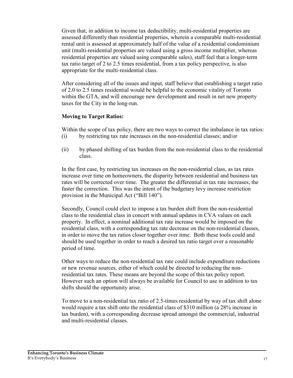Given that, in addition to income tax deductibility, multi-residential properties are assessed differently than residential properties, wherein a comparable multi-residential rental unit is assessed at approximately half of the value of a residential condominium unit (multi-residential properties are valued using a gross income multiplier, whereas residential properties are valued using comparable sales), staff feel that a longer-term tax ratio target of 2 to 2.5 times residential, from a tax policy perspective, is also appropriate for the multi-residential class.

After considering all of the issues and input, staff believe that establishing a target ratio of 2.0 to 2.5 times residential would be helpful to the economic vitality of Toronto within the GTA, and will encourage new development and result in net new property taxes for the City in the long-run.

### **Moving to Target Ratios:**

Within the scope of tax policy, there are two ways to correct the imbalance in tax ratios: by restricting tax rate increases on the non-residential classes; and/or  $(i)$ 

 $(ii)$ by phased shifting of tax burden from the non-residential class to the residential class

In the first case, by restricting tax increases on the non-residential class, as tax rates increase over time on homeowners, the disparity between residential and business tax rates will be corrected over time. The greater the differential in tax rate increases, the faster the correction. This was the intent of the budgetary levy increase restriction provision in the Municipal Act ("Bill 140").

Secondly, Council could elect to impose a tax burden shift from the non-residential class to the residential class in concert with annual updates in CVA values on each property. In effect, a nominal additional tax rate increase would be imposed on the residential class, with a corresponding tax rate decrease on the non-residential classes, in order to move the tax ratios closer together over time. Both these tools could and should be used together in order to reach a desired tax ratio target over a reasonable period of time.

Other ways to reduce the non-residential tax rate could include expenditure reductions or new revenue sources, either of which could be directed to reducing the nonresidential tax rates. These means are beyond the scope of this tax policy report. However such an option will always be available for Council to use in addition to tax shifts should the opportunity arise.

To move to a non-residential tax ratio of 2.5-times residential by way of tax shift alone would require a tax shift onto the residential class of \$310 million (a 28% increase in tax burden), with a corresponding decrease spread amongst the commercial, industrial and multi-residential classes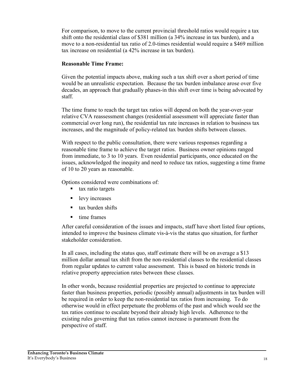For comparison, to move to the current provincial threshold ratios would require a tax shift onto the residential class of \$381 million (a 34% increase in tax burden), and a move to a non-residential tax ratio of 2.0-times residential would require a \$469 million tax increase on residential (a 42% increase in tax burden).

### **Reasonable Time Frame:**

Given the potential impacts above, making such a tax shift over a short period of time would be an unrealistic expectation. Because the tax burden imbalance arose over five decades, an approach that gradually phases-in this shift over time is being advocated by staff.

The time frame to reach the target tax ratios will depend on both the year-over-year relative CVA reassessment changes (residential assessment will appreciate faster than commercial over long run), the residential tax rate increases in relation to business tax increases, and the magnitude of policy-related tax burden shifts between classes.

With respect to the public consultation, there were various responses regarding a reasonable time frame to achieve the target ratios. Business owner opinions ranged from immediate, to 3 to 10 years. Even residential participants, once educated on the issues, acknowledged the inequity and need to reduce tax ratios, suggesting a time frame of 10 to 20 years as reasonable.

Options considered were combinations of:

- tax ratio targets
- levy increases
- tax burden shifts
- $\blacksquare$ time frames

After careful consideration of the issues and impacts, staff have short listed four options, intended to improve the business climate vis-à-vis the status quo situation, for further stakeholder consideration

In all cases, including the status quo, staff estimate there will be on average a \$13 million dollar annual tax shift from the non-residential classes to the residential classes from regular updates to current value assessment. This is based on historic trends in relative property appreciation rates between these classes.

In other words, because residential properties are projected to continue to appreciate faster than business properties, periodic (possibly annual) adjustments in tax burden will be required in order to keep the non-residential tax ratios from increasing. To do otherwise would in effect perpetuate the problems of the past and which would see the tax ratios continue to escalate beyond their already high levels. Adherence to the existing rules governing that tax ratios cannot increase is paramount from the perspective of staff.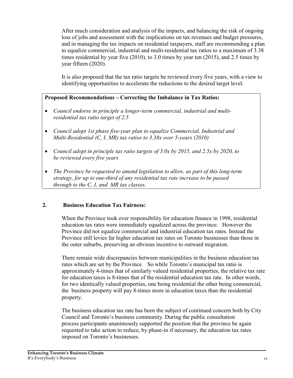After much consideration and analysis of the impacts, and balancing the risk of ongoing loss of jobs and assessment with the implications on tax revenues and budget pressures. and in managing the tax impacts on residential taxpayers, staff are recommending a plan to equalize commercial, industrial and multi-residential tax ratios to a maximum of 3.38 times residential by year five  $(2010)$ , to 3.0 times by year ten  $(2015)$ , and 2.5 times by year fifteen (2020).

It is also proposed that the tax ratio targets be reviewed every five years, with a view to identifying opportunities to accelerate the reductions to the desired target level.

### Proposed Recommendations – Correcting the Imbalance in Tax Ratios:

- Council endorse in principle a longer-term commercial, industrial and multiresidential tax ratio target of 2.5
- Council adopt 1st phase five-year plan to equalize Commercial, Industrial and Multi-Residential (C, I, MR) tax ratios to 3.38x over 5-years (2010)
- Council adopt in principle tax ratio targets of  $3.0x$  by 2015, and 2.5x by 2020, to be reviewed every five years
- $\bullet$ The Province be requested to amend legislation to allow, as part of this long-term strategy, for up to one-third of any residential tax rate increase to be passed through to the  $C$ ,  $I$ , and  $MR$  tax classes.

#### $2.$ **Business Education Tax Fairness:**

When the Province took over responsibility for education finance in 1998, residential education tax rates were immediately equalized across the province. However the Province did not equalize commercial and industrial education tax rates. Instead the Province still levies far higher education tax rates on Toronto businesses than those in the outer suburbs, preserving an obvious incentive to outward migration.

There remain wide discrepancies between municipalities in the business education tax rates which are set by the Province. So while Toronto's municipal tax ratio is approximately 4-times that of similarly valued residential properties, the relative tax rate for education taxes is 8-times that of the residential education tax rate. In other words, for two identically valued properties, one being residential the other being commercial, the business property will pay 8-times more in education taxes than the residential property.

The business education tax rate has been the subject of continued concern both by City Council and Toronto's business community. During the public consultation process participants unanimously supported the position that the province be again requested to take action to reduce, by phase-in if necessary, the education tax rates imposed on Toronto's businesses.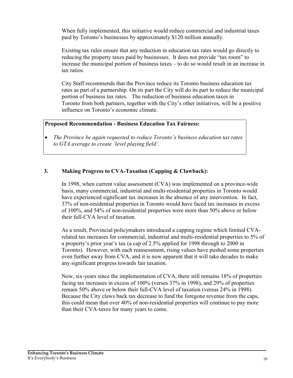When fully implemented, this initiative would reduce commercial and industrial taxes paid by Toronto's businesses by approximately \$120 million annually.

Existing tax rules ensure that any reduction in education tax rates would go directly to reducing the property taxes paid by businesses. It does not provide "tax room" to increase the municipal portion of business taxes – to do so would result in an increase in tax ratios.

City Staff recommends that the Province reduce its Toronto business education tax rates as part of a partnership. On its part the City will do its part to reduce the municipal portion of business tax rates. The reduction of business education taxes in Toronto from both partners, together with the City's other initiatives, will be a positive influence on Toronto's economic climate

### **Proposed Recommendation - Business Education Tax Fairness:**

The Province be again requested to reduce Toronto's business education tax rates  $\bullet$ to GTA average to create 'level playing field'.

#### $3.$ **Making Progress to CVA-Taxation (Capping & Clawback):**

In 1998, when current value assessment (CVA) was implemented on a province-wide basis, many commercial, industrial and multi-residential properties in Toronto would have experienced significant tax increases in the absence of any intervention. In fact, 37% of non-residential properties in Toronto would have faced tax increases in excess of 100%, and 54% of non-residential properties were more than 50% above or below their full-CVA level of taxation.

As a result, Provincial policymakers introduced a capping regime which limited CVArelated tax increases for commercial, industrial and multi-residential properties to 5% of a property's prior year's tax (a cap of 2.5% applied for 1998 through to 2000 in Toronto). However, with each reassessment, rising values have pushed some properties even further away from CVA, and it is now apparent that it will take decades to make any significant progress towards fair taxation.

Now, six-years since the implementation of CVA, there still remains 18% of properties facing tax increases in excess of 100% (verses 37% in 1998), and 29% of properties remain 50% above or below their full-CVA level of taxation (versus 24% in 1998). Because the City claws back tax decrease to fund the foregone revenue from the caps, this could mean that over 40% of non-residential properties will continue to pay more than their CVA-taxes for many years to come.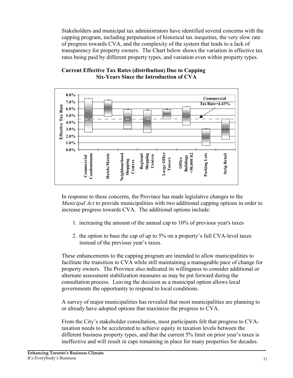Stakeholders and municipal tax administrators have identified several concerns with the capping program, including perpetuation of historical tax inequities, the very slow rate of progress towards CVA, and the complexity of the system that leads to a lack of transparency for property owners. The Chart below shows the variation in effective tax rates being paid by different property types, and variation even within property types.



### **Current Effective Tax Rates (distribution) Due to Capping Six-Years Since the Introduction of CVA**

In response to these concerns, the Province has made legislative changes to the *Municipal Act* to provide municipalities with two additional capping options in order to increase progress towards CVA. The additional options include:

- 1. increasing the amount of the annual cap to  $10\%$  of previous year's taxes
- 2. the option to base the cap of up to 5% on a property's full CVA-level taxes instead of the previous year's taxes.

These enhancements to the capping program are intended to allow municipalities to facilitate the transition to CVA while still maintaining a manageable pace of change for property owners. The Province also indicated its willingness to consider additional or alternate assessment stabilization measures as may be put forward during the consultation process. Leaving the decision as a municipal option allows local governments the opportunity to respond to local conditions.

A survey of major municipalities has revealed that most municipalities are planning to or already have adopted options that maximize the progress to CVA.

From the City's stakeholder consultation, most participants felt that progress to CVAtaxation needs to be accelerated to achieve equity in taxation levels between the different business property types, and that the current 5% limit on prior year's taxes is ineffective and will result in caps remaining in place for many properties for decades.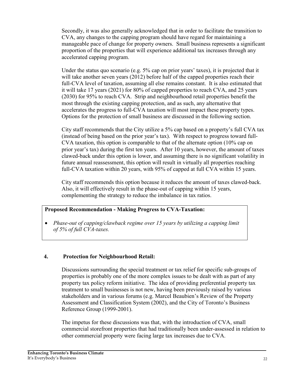Secondly, it was also generally acknowledged that in order to facilitate the transition to CVA, any changes to the capping program should have regard for maintaining a manageable pace of change for property owners. Small business represents a significant proportion of the properties that will experience additional tax increases through any accelerated capping program.

Under the status quo scenario (e.g.  $5\%$  cap on prior years' taxes), it is projected that it will take another seven years (2012) before half of the capped properties reach their full-CVA level of taxation, assuming all else remains constant. It is also estimated that it will take 17 years (2021) for 80% of capped properties to reach CVA, and 25 years (2030) for 95% to reach CVA. Strip and neighbourhood retail properties benefit the most through the existing capping protection, and as such, any alternative that accelerates the progress to full-CVA taxation will most impact these property types. Options for the protection of small business are discussed in the following section.

City staff recommends that the City utilize a 5% cap based on a property's full CVA tax (instead of being based on the prior year's tax). With respect to progress toward full-CVA taxation, this option is comparable to that of the alternate option  $(10\% \text{ cap on }$ prior year's tax) during the first ten years. After 10 years, however, the amount of taxes clawed-back under this option is lower, and assuming there is no significant volatility in future annual reassessment, this option will result in virtually all properties reaching full-CVA taxation within 20 years, with 95% of capped at full CVA within 15 years.

City staff recommends this option because it reduces the amount of taxes clawed-back. Also, it will effectively result in the phase-out of capping within 15 years, complementing the strategy to reduce the imbalance in tax ratios.

#### **Proposed Recommendation - Making Progress to CVA-Taxation:**

 $\bullet$ Phase-out of capping/clawback regime over 15 years by utilizing a capping limit of 5% of full CVA-taxes.

#### $\overline{4}$ . **Protection for Neighbourhood Retail:**

Discussions surrounding the special treatment or tax relief for specific sub-groups of properties is probably one of the more complex issues to be dealt with as part of any property tax policy reform initiative. The idea of providing preferential property tax treatment to small businesses is not new, having been previously raised by various stakeholders and in various forums (e.g. Marcel Beaubien's Review of the Property Assessment and Classification System (2002), and the City of Toronto's Business Reference Group (1999-2001).

The impetus for these discussions was that, with the introduction of CVA, small commercial storefront properties that had traditionally been under-assessed in relation to other commercial property were facing large tax increases due to CVA.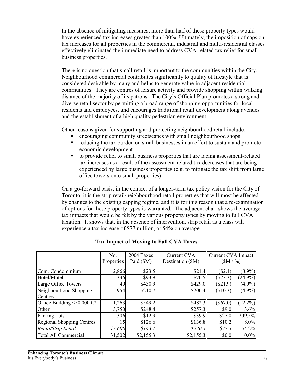In the absence of mitigating measures, more than half of these property types would have experienced tax increases greater than 100%. Ultimately, the imposition of caps on tax increases for all properties in the commercial, industrial and multi-residential classes effectively eliminated the immediate need to address CVA-related tax relief for small business properties.

There is no question that small retail is important to the communities within the City. Neighbourhood commercial contributes significantly to quality of lifestyle that is considered desirable by many and helps to generate value in adjacent residential communities. They are centres of leisure activity and provide shopping within walking distance of the majority of its patrons. The City's Official Plan promotes a strong and diverse retail sector by permitting a broad range of shopping opportunities for local residents and employees, and encourages traditional retail development along avenues and the establishment of a high quality pedestrian environment.

Other reasons given for supporting and protecting neighbourhood retail include:

- encouraging community streetscapes with small neighbourhood shops
- $\mathbf{r}$  . reducing the tax burden on small businesses in an effort to sustain and promote economic development
- to provide relief to small business properties that are facing assessment-related  $\blacksquare$ tax increases as a result of the assessment-related tax decreases that are being experienced by large business properties (e.g. to mitigate the tax shift from large office towers onto small properties)

On a go-forward basis, in the context of a longer-term tax policy vision for the City of Toronto, it is the strip retail/neighbourhood retail properties that will most be affected by changes to the existing capping regime, and it is for this reason that a re-examination of options for these property types is warranted. The adjacent chart shows the average tax impacts that would be felt by the various property types by moving to full CVA taxation. It shows that, in the absence of intervention, strip retail as a class will experience a tax increase of \$77 million, or 54% on average.

|                                  | No.        | 2004 Taxes | <b>Current CVA</b> | Current CVA Impact |            |
|----------------------------------|------------|------------|--------------------|--------------------|------------|
|                                  | Properties | Paid (\$M) | Destination (\$M)  | (SM / %)           |            |
| Com. Condominium                 | 2,866      | \$23.5     | \$21.4             | (S2.1)             | $(8.9\%)$  |
| Hotel/Motel                      | 336        | \$93.9     | \$70.5             | (\$23.3)           | $(24.9\%)$ |
| Large Office Towers              | 40         | \$450.9    | \$429.0            | $(\$21.9)$         | $(4.9\%)$  |
| Neighbourhood Shopping           | 954        | \$210.7    | \$200.4            | (\$10.3)           | $(4.9\%)$  |
| Centres                          |            |            |                    |                    |            |
| Office Building <50,000 ft2      | 1,263      | \$549.2    | \$482.3            | $(\$67.0)$         | $(12.2\%)$ |
| Other                            | 3,750      | \$248.4    | \$257.3            | \$9.0              | 3.6%       |
| Parking Lots                     | 306        | \$12.9     | \$39.9             | \$27.0             | 209.5%     |
| <b>Regional Shopping Centres</b> | 15         | \$126.6    | \$136.8            | \$10.2             | 8.0%       |
| Retail/Strip Retail              | 13,600     | \$143.1    | \$220.5            | \$77.5             | 54.2%      |
| <b>Total All Commercial</b>      | 31,502     | \$2,155.3  | \$2,155.3          | \$0.0              | $0.0\%$    |

### **Tax Impact of Moving to Full CVA Taxes**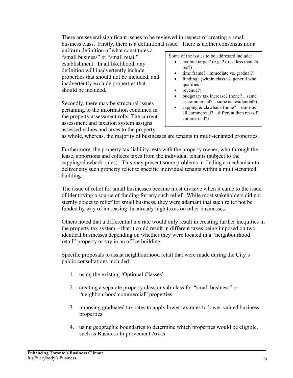There are several significant issues to be reviewed in respect of creating a small business class. Firstly, there is a definitional issue. There is neither consensus nor a

uniform definition of what constitutes a "small business" or "small retail" establishment. In all likelihood, any definition will inadvertently include properties that should not be included, and inadvertently exclude properties that should be included

Secondly, there may be structural issues pertaining to the information contained in the property assessment rolls. The current assessment and taxation system assigns assessed values and taxes to the property

Some of the issues to be addressed include:

- tax rate target? (e.g.  $2x$  res, less than  $2x$  $\bullet$  $res?)$
- time frame? (immediate vs. gradual?)
- funding? (within class vs. general who qualifies
- revenue?)
- budgetary tax increase? (none? .. same as commercial? .. same as residential?)
- capping  $&$  clawback (none?  $\ldots$  same as all commercial? .. different than rest of commercial?)

as whole, whereas, the majority of businesses are tenants in multi-tenanted properties.

Furthermore, the property tax liability rests with the property owner, who through the lease, apportions and collects taxes from the individual tenants (subject to the capping/clawback rules). This may present some problems in finding a mechanism to deliver any such property relief to specific individual tenants within a multi-tenanted building.

The issue of relief for small businesses became most divisive when it came to the issue of identifying a source of funding for any such relief. While most stakeholders did not sternly object to relief for small business, they were adamant that such relief not be funded by way of increasing the already high taxes on other businesses.

Others noted that a differential tax rate would only result in creating further inequities in the property tax system – that it could result in different taxes being imposed on two identical businesses depending on whether they were located in a "neighbourhood" retail" property or say in an office building.

Specific proposals to assist neighbourhood retail that were made during the City's public consultations included:

- 1. using the existing 'Optional Classes'
- 2. creating a separate property class or sub-class for "small business" or "neighbourhood commercial" properties
- 3. imposing graduated tax rates to apply lower tax rates to lower-valued business properties
- 4. using geographic boundaries to determine which properties would be eligible, such as Business Improvement Areas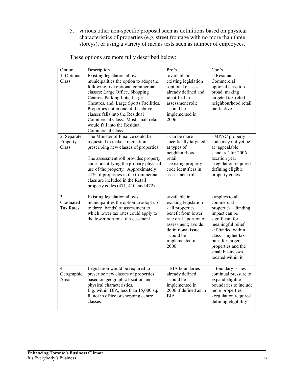5. various other non-specific proposal such as definitions based on physical characteristics of properties (e.g. street frontage with no more than three storeys), or using a variety of means tests such as number of employees.

| These options are more fully described below: |
|-----------------------------------------------|
|-----------------------------------------------|

| Option           | Description                             | Pro's                              | Con's                                  |
|------------------|-----------------------------------------|------------------------------------|----------------------------------------|
| 1. Optional      | Existing legislation allows             | -available in                      | - 'Residual                            |
| Class            | municipalities the option to adopt the  | existing legislation               | Commercial'                            |
|                  | following five optional commercial      | -optional classes                  | optional class too                     |
|                  | classes: Large Office, Shopping         | already defined and                | broad, making                          |
|                  | Centres, Parking Lots, Large            | identified in                      | targeted tax relief                    |
|                  | Theatres, and, Large Sports Facilities. | assessment roll:                   | neighbourhood retail                   |
|                  | Properties not in one of the above      | - could be                         | ineffective                            |
|                  | classes falls into the Residual         | implemented in                     |                                        |
|                  | Commercial Class. Most small retail     | 2006                               |                                        |
|                  | would fall into the Residual            |                                    |                                        |
|                  | Commercial Class                        |                                    |                                        |
| 2. Separate      | The Minister of Finance could be        | - can be more                      | - MPAC property                        |
| Property         | requested to make a regulation          | specifically targeted              | code may not yet be                    |
| Class            | prescribing new classes of properties.  | at types of                        | at 'appealable<br>standard' for 2006   |
|                  | The assessment roll provides property   | neighbourhood<br>retail            | taxation year                          |
|                  | codes identifying the primary physical  | - existing property                | - regulation required                  |
|                  | use of the property. Approximately      | code identifiers in                | defining eligible                      |
|                  | 41% of properties in the Commercial     | assessment roll                    | property codes                         |
|                  | class are included in the Retail        |                                    |                                        |
|                  | property codes $(471, 410,$ and $472)$  |                                    |                                        |
|                  |                                         |                                    |                                        |
| 3.               | Existing legislation allows             | -available in                      | - applies to all                       |
| Graduated        | municipalities the option to adopt up   | existing legislation               | commercial                             |
| <b>Tax Rates</b> | to three 'bands' of assessment to       | - all properties                   | properties - funding                   |
|                  | which lower tax rates could apply to    | benefit from lower                 | impact can be                          |
|                  | the lower portions of assessment.       | rate on 1 <sup>st</sup> portion of | significant for                        |
|                  |                                         | assessment; avoids                 | meaningful relief                      |
|                  |                                         | definitional issue                 | - if funded within                     |
|                  |                                         | - could be                         | $class - higher tax$                   |
|                  |                                         | implemented in<br>2006             | rates for larger<br>properties and the |
|                  |                                         |                                    | small businesses                       |
|                  |                                         |                                    | located within it                      |
|                  |                                         |                                    |                                        |
| $\overline{4}$ . | Legislation would be required to        | - BIA boundaries                   | - Boundary issues -                    |
| Geographic       | prescribe new classes of properties     | already defined                    | continual pressure to                  |
| Areas            | based on geographic location and        | - could be                         | expand eligible                        |
|                  | physical characteristics.               | implemented in                     | boundaries to include                  |
|                  | E.g. within BIA, less than 15,000 sq.   | 2006 if defined as in              | more properties                        |
|                  | ft, not in office or shopping centre    | <b>BIA</b>                         | - regulation required                  |
|                  | classes                                 |                                    | defining eligibility                   |
|                  |                                         |                                    |                                        |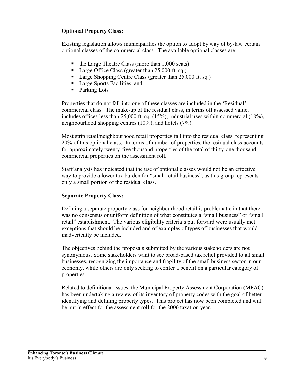### **Optional Property Class:**

Existing legislation allows municipalities the option to adopt by way of by-law certain optional classes of the commercial class. The available optional classes are:

- $\bullet$  the Large Theatre Class (more than 1,000 seats)
- Large Office Class (greater than  $25,000$  ft. sq.)
- Large Shopping Centre Class (greater than  $25,000$  ft. sq.)
- Large Sports Facilities, and
- Parking Lots

Properties that do not fall into one of these classes are included in the 'Residual' commercial class. The make-up of the residual class, in terms off assessed value, includes offices less than 25,000 ft. sq. (15%), industrial uses within commercial (18%), neighbourhood shopping centres  $(10\%)$ , and hotels  $(7\%)$ .

Most strip retail/neighbourhood retail properties fall into the residual class, representing 20% of this optional class. In terms of number of properties, the residual class accounts for approximately twenty-five thousand properties of the total of thirty-one thousand commercial properties on the assessment roll.

Staff analysis has indicated that the use of optional classes would not be an effective way to provide a lower tax burden for "small retail business", as this group represents only a small portion of the residual class.

### **Separate Property Class:**

Defining a separate property class for neighbourhood retail is problematic in that there was no consensus or uniform definition of what constitutes a "small business" or "small retail" establishment. The various eligibility criteria's put forward were usually met exceptions that should be included and of examples of types of businesses that would inadvertently be included.

The objectives behind the proposals submitted by the various stakeholders are not synonymous. Some stakeholders want to see broad-based tax relief provided to all small businesses, recognizing the importance and fragility of the small business sector in our economy, while others are only seeking to confer a benefit on a particular category of properties.

Related to definitional issues, the Municipal Property Assessment Corporation (MPAC) has been undertaking a review of its inventory of property codes with the goal of better identifying and defining property types. This project has now been completed and will be put in effect for the assessment roll for the 2006 taxation year.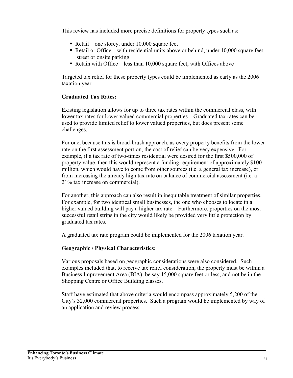This review has included more precise definitions for property types such as:

- Retail one storey, under  $10,000$  square feet
- Retail or Office with residential units above or behind, under 10,000 square feet, street or onsite parking
- Retain with Office less than  $10,000$  square feet, with Offices above

Targeted tax relief for these property types could be implemented as early as the 2006 taxation year.

### **Graduated Tax Rates:**

Existing legislation allows for up to three tax rates within the commercial class, with lower tax rates for lower valued commercial properties. Graduated tax rates can be used to provide limited relief to lower valued properties, but does present some challenges.

For one, because this is broad-brush approach, as every property benefits from the lower rate on the first assessment portion, the cost of relief can be very expensive. For example, if a tax rate of two-times residential were desired for the first \$500,000 of property value, then this would represent a funding requirement of approximately \$100 million, which would have to come from other sources (i.e. a general tax increase), or from increasing the already high tax rate on balance of commercial assessment (i.e. a 21% tax increase on commercial).

For another, this approach can also result in inequitable treatment of similar properties. For example, for two identical small businesses, the one who chooses to locate in a higher valued building will pay a higher tax rate. Furthermore, properties on the most successful retail strips in the city would likely be provided very little protection by graduated tax rates.

A graduated tax rate program could be implemented for the 2006 taxation year.

### **Geographic / Physical Characteristics:**

Various proposals based on geographic considerations were also considered. Such examples included that, to receive tax relief consideration, the property must be within a Business Improvement Area (BIA), be say 15,000 square feet or less, and not be in the Shopping Centre or Office Building classes.

Staff have estimated that above criteria would encompass approximately 5,200 of the City's 32,000 commercial properties. Such a program would be implemented by way of an application and review process.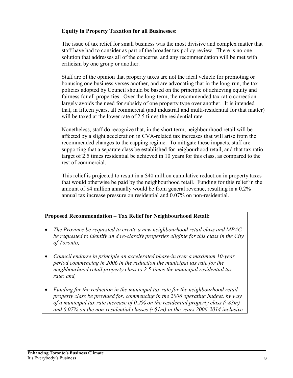### **Equity in Property Taxation for all Businesses:**

The issue of tax relief for small business was the most divisive and complex matter that staff have had to consider as part of the broader tax policy review. There is no one solution that addresses all of the concerns, and any recommendation will be met with criticism by one group or another.

Staff are of the opinion that property taxes are not the ideal vehicle for promoting or bonusing one business verses another, and are advocating that in the long-run, the tax policies adopted by Council should be based on the principle of achieving equity and fairness for all properties. Over the long-term, the recommended tax ratio correction largely avoids the need for subsidy of one property type over another. It is intended that, in fifteen years, all commercial (and industrial and multi-residential for that matter) will be taxed at the lower rate of 2.5 times the residential rate.

Nonetheless, staff do recognize that, in the short term, neighbourhood retail will be affected by a slight acceleration in CVA-related tax increases that will arise from the recommended changes to the capping regime. To mitigate these impacts, staff are supporting that a separate class be established for neigbourhood retail, and that tax ratio target of 2.5 times residential be achieved in 10 years for this class, as compared to the rest of commercial.

This relief is projected to result in a \$40 million cumulative reduction in property taxes that would otherwise be paid by the neighbourhood retail. Funding for this relief in the amount of \$4 million annually would be from general revenue, resulting in a 0.2% annual tax increase pressure on residential and 0.07% on non-residential.

### Proposed Recommendation - Tax Relief for Neighbourhood Retail:

- $\bullet$ The Province be requested to create a new neighbourhood retail class and MPAC be requested to identify an d re-classify properties eligible for this class in the City of Toronto;
- $\bullet$ Council endorse in principle an accelerated phase-in over a maximum 10-year period commencing in 2006 in the reduction the municipal tax rate for the neighbourhood retail property class to 2.5-times the municipal residential tax rate; and,
- $\bullet$ Funding for the reduction in the municipal tax rate for the neighbourhood retail property class be provided for, commencing in the 2006 operating budget, by way of a municipal tax rate increase of 0.2% on the residential property class  $(\sim 33m)$ and 0.07% on the non-residential classes  $(\sim \frac{S}{m})$  in the years 2006-2014 inclusive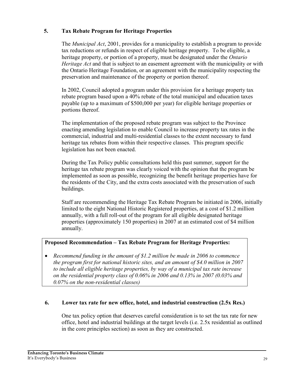#### 5. **Tax Rebate Program for Heritage Properties**

The *Municipal Act*, 2001, provides for a municipality to establish a program to provide tax reductions or refunds in respect of eligible heritage property. To be eligible, a heritage property, or portion of a property, must be designated under the *Ontario Heritage Act* and that is subject to an easement agreement with the municipality or with the Ontario Heritage Foundation, or an agreement with the municipality respecting the preservation and maintenance of the property or portion thereof.

In 2002, Council adopted a program under this provision for a heritage property tax rebate program based upon a 40% rebate of the total municipal and education taxes payable (up to a maximum of \$500,000 per year) for eligible heritage properties or portions thereof.

The implementation of the proposed rebate program was subject to the Province enacting amending legislation to enable Council to increase property tax rates in the commercial, industrial and multi-residential classes to the extent necessary to fund heritage tax rebates from within their respective classes. This program specific legislation has not been enacted.

During the Tax Policy public consultations held this past summer, support for the heritage tax rebate program was clearly voiced with the opinion that the program be implemented as soon as possible, recognizing the benefit heritage properties have for the residents of the City, and the extra costs associated with the preservation of such buildings.

Staff are recommending the Heritage Tax Rebate Program be initiated in 2006, initially limited to the eight National Historic Registered properties, at a cost of \$1.2 million annually, with a full roll-out of the program for all eligible designated heritage properties (approximately 150 properties) in 2007 at an estimated cost of \$4 million annually.

#### Proposed Recommendation – Tax Rebate Program for Heritage Properties:

 $\bullet$ Recommend funding in the amount of \$1.2 million be made in 2006 to commence the program first for national historic sites, and an amount of \$4.0 million in 2007 to include all eligible heritage properties, by way of a municipal tax rate increase on the residential property class of 0.06% in 2006 and 0.13% in 2007 (0.03% and  $0.07\%$  on the non-residential classes)

#### 6. Lower tax rate for new office, hotel, and industrial construction (2.5x Res.)

One tax policy option that deserves careful consideration is to set the tax rate for new office, hotel and industrial buildings at the target levels (i.e. 2.5x residential as outlined in the core principles section) as soon as they are constructed.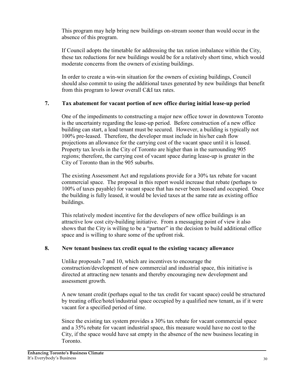This program may help bring new buildings on-stream sooner than would occur in the absence of this program.

If Council adopts the timetable for addressing the tax ration imbalance within the City. these tax reductions for new buildings would be for a relatively short time, which would moderate concerns from the owners of existing buildings.

In order to create a win-win situation for the owners of existing buildings. Council should also commit to using the additional taxes generated by new buildings that benefit from this program to lower overall C&I tax rates.

#### $7.$ Tax abatement for vacant portion of new office during initial lease-up period

One of the impediments to constructing a major new office tower in downtown Toronto is the uncertainty regarding the lease-up period. Before construction of a new office building can start, a lead tenant must be secured. However, a building is typically not 100% pre-leased. Therefore, the developer must include in his/her cash flow projections an allowance for the carrying cost of the vacant space until it is leased. Property tax levels in the City of Toronto are higher than in the surrounding 905 regions; therefore, the carrying cost of vacant space during lease-up is greater in the City of Toronto than in the 905 suburbs.

The existing Assessment Act and regulations provide for a 30% tax rebate for vacant commercial space. The proposal in this report would increase that rebate (perhaps to 100% of taxes payable) for vacant space that has never been leased and occupied. Once the building is fully leased, it would be levied taxes at the same rate as existing office buildings.

This relatively modest incentive for the developers of new office buildings is an attractive low cost city-building initiative. From a messaging point of view it also shows that the City is willing to be a "partner" in the decision to build additional office space and is willing to share some of the upfront risk.

#### 8. New tenant business tax credit equal to the existing vacancy allowance

Unlike proposals 7 and 10, which are incentives to encourage the construction/development of new commercial and industrial space, this initiative is directed at attracting new tenants and thereby encouraging new development and assessment growth.

A new tenant credit (perhaps equal to the tax credit for vacant space) could be structured by treating office/hotel/industrial space occupied by a qualified new tenant, as if it were vacant for a specified period of time.

Since the existing tax system provides a 30% tax rebate for vacant commercial space and a 35% rebate for vacant industrial space, this measure would have no cost to the City, if the space would have sat empty in the absence of the new business locating in Toronto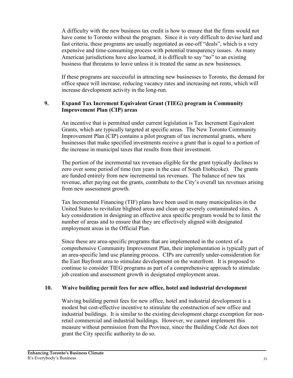A difficulty with the new business tax credit is how to ensure that the firms would not have come to Toronto without the program. Since it is very difficult to devise hard and fast criteria, these programs are usually negotiated as one-off "deals", which is a very expensive and time-consuming process with potential transparency issues. As many American jurisdictions have also learned, it is difficult to say "no" to an existing business that threatens to leave unless it is treated the same as new businesses.

If these programs are successful in attracting new businesses to Toronto, the demand for office space will increase, reducing vacancy rates and increasing net rents, which will increase development activity in the long-run.

#### $9<sub>1</sub>$ **Expand Tax Increment Equivalent Grant (TIEG) program in Community Improvement Plan (CIP) areas**

An incentive that is permitted under current legislation is Tax Increment Equivalent Grants, which are typically targeted at specific areas. The New Toronto Community Improvement Plan (CIP) contains a pilot program of tax incremental grants, where businesses that make specified investments receive a grant that is equal to a portion of the increase in municipal taxes that results from their investment.

The portion of the incremental tax revenues eligible for the grant typically declines to zero over some period of time (ten years in the case of South Etobicoke). The grants are funded entirely from new incremental tax revenues. The balance of new tax revenue, after paying out the grants, contribute to the City's overall tax revenues arising from new assessment growth.

Tax Incremental Financing (TIF) plans have been used in many municipalities in the United States to revitalize blighted areas and clean up severely contaminated sites. A key consideration in designing an effective area specific program would be to limit the number of areas and to ensure that they are effectively aligned with designated employment areas in the Official Plan.

Since these are area-specific programs that are implemented in the context of a comprehensive Community Improvement Plan, their implementation is typically part of an area-specific land use planning process. CIPs are currently under-consideration for the East Bayfront area to stimulate development on the waterfront. It is proposed to continue to consider TIEG programs as part of a comprehensive approach to stimulate job creation and assessment growth in designated employment areas.

#### 10. Waive building permit fees for new office, hotel and industrial development

Waiving building permit fees for new office, hotel and industrial development is a modest but cost-effective incentive to stimulate the construction of new office and industrial buildings. It is similar to the existing development charge exemption for nonretail commercial and industrial buildings. However, we cannot implement this measure without permission from the Province, since the Building Code Act does not grant the City specific authority to do so.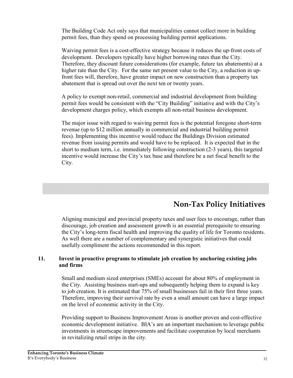The Building Code Act only says that municipalities cannot collect more in building permit fees, than they spend on processing building permit applications.

Waiving permit fees is a cost-effective strategy because it reduces the up-front costs of development. Developers typically have higher borrowing rates than the City. Therefore, they discount future considerations (for example, future tax abatements) at a higher rate than the City. For the same net present value to the City, a reduction in upfront fees will, therefore, have greater impact on new construction than a property tax abatement that is spread out over the next ten or twenty years.

A policy to exempt non-retail, commercial and industrial development from building permit fees would be consistent with the "City Building" initiative and with the City's development charges policy, which exempts all non-retail business development.

The major issue with regard to waiving permit fees is the potential foregone short-term revenue (up to \$12 million annually in commercial and industrial building permit fees). Implementing this incentive would reduce the Buildings Division estimated revenue from issuing permits and would have to be replaced. It is expected that in the short to medium term, i.e. immediately following construction (2-3 years), this targeted incentive would increase the City's tax base and therefore be a net fiscal benefit to the City.

## **Non-Tax Policy Initiatives**

Aligning municipal and provincial property taxes and user fees to encourage, rather than discourage, job creation and assessment growth is an essential prerequisite to ensuring the City's long-term fiscal health and improving the quality of life for Toronto residents. As well there are a number of complementary and synergistic initiatives that could usefully compliment the actions recommended in this report.

#### 11. Invest in proactive programs to stimulate job creation by anchoring existing jobs and firms

Small and medium sized enterprises (SMEs) account for about 80% of employment in the City. Assisting business start-ups and subsequently helping them to expand is key to job creation. It is estimated that 75% of small businesses fail in their first three years. Therefore, improving their survival rate by even a small amount can have a large impact on the level of economic activity in the City.

Providing support to Business Improvement Areas is another proven and cost-effective economic development initiative. BIA's are an important mechanism to leverage public investments in streetscape improvements and facilitate cooperation by local merchants in revitalizing retail strips in the city.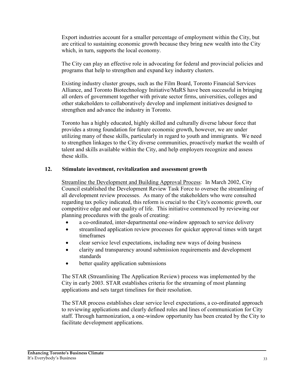Export industries account for a smaller percentage of employment within the City, but are critical to sustaining economic growth because they bring new wealth into the City which, in turn, supports the local economy.

The City can play an effective role in advocating for federal and provincial policies and programs that help to strengthen and expand key industry clusters.

Existing industry cluster groups, such as the Film Board, Toronto Financial Services Alliance, and Toronto Biotechnology Initiative/MaRS have been successful in bringing all orders of government together with private sector firms, universities, colleges and other stakeholders to collaboratively develop and implement initiatives designed to strengthen and advance the industry in Toronto.

Toronto has a highly educated, highly skilled and culturally diverse labour force that provides a strong foundation for future economic growth, however, we are under utilizing many of these skills, particularly in regard to youth and immigrants. We need to strengthen linkages to the City diverse communities, proactively market the wealth of talent and skills available within the City, and help employers recognize and assess these skills.

#### $12.$ Stimulate investment, revitalization and assessment growth

Streamline the Development and Building Approval Process: In March 2002, City Council established the Development Review Task Force to oversee the streamlining of all development review processes. As many of the stakeholders who were consulted regarding tax policy indicated, this reform is crucial to the City's economic growth, our competitive edge and our quality of life. This initiative commenced by reviewing our planning procedures with the goals of creating:

- a co-ordinated, inter-departmental one-window approach to service delivery
- streamlined application review processes for quicker approval times with target  $\bullet$ timeframes
- clear service level expectations, including new ways of doing business  $\bullet$
- clarity and transparency around submission requirements and development  $\bullet$ standards
- better quality application submissions  $\bullet$

The STAR (Streamlining The Application Review) process was implemented by the City in early 2003. STAR establishes criteria for the streaming of most planning applications and sets target timelines for their resolution.

The STAR process establishes clear service level expectations, a co-ordinated approach to reviewing applications and clearly defined roles and lines of communication for City staff. Through harmonization, a one-window opportunity has been created by the City to facilitate development applications.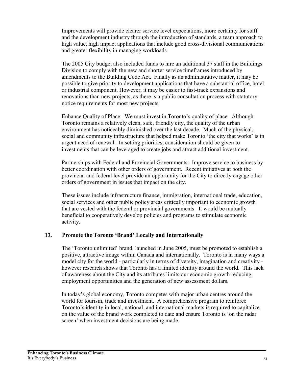Improvements will provide clearer service level expectations, more certainty for staff and the development industry through the introduction of standards, a team approach to high value, high impact applications that include good cross-divisional communications and greater flexibility in managing workloads.

The 2005 City budget also included funds to hire an additional 37 staff in the Buildings Division to comply with the new and shorter service time frames introduced by amendments to the Building Code Act. Finally as an administrative matter, it may be possible to give priority to development applications that have a substantial office, hotel or industrial component. However, it may be easier to fast-track expansions and renovations than new projects, as there is a public consultation process with statutory notice requirements for most new projects.

Enhance Ouality of Place: We must invest in Toronto's quality of place. Although Toronto remains a relatively clean, safe, friendly city, the quality of the urban environment has noticeably diminished over the last decade. Much of the physical, social and community infrastructure that helped make Toronto 'the city that works' is in urgent need of renewal. In setting priorities, consideration should be given to investments that can be leveraged to create jobs and attract additional investment.

Partnerships with Federal and Provincial Governments: Improve service to business by better coordination with other orders of government. Recent initiatives at both the provincial and federal level provide an opportunity for the City to directly engage other orders of government in issues that impact on the city.

These issues include infrastructure finance, immigration, international trade, education, social services and other public policy areas critically important to economic growth that are vested with the federal or provincial governments. It would be mutually beneficial to cooperatively develop policies and programs to stimulate economic activity.

#### 13. **Promote the Toronto 'Brand' Locally and Internationally**

The 'Toronto unlimited' brand, launched in June 2005, must be promoted to establish a positive, attractive image within Canada and internationally. Toronto is in many ways a model city for the world - particularly in terms of diversity, imagination and creativity however research shows that Toronto has a limited identity around the world. This lack of awareness about the City and its attributes limits our economic growth reducing employment opportunities and the generation of new assessment dollars.

In today's global economy, Toronto competes with major urban centres around the world for tourism, trade and investment. A comprehensive program to reinforce Toronto's identity in local, national, and international markets is required to capitalize on the value of the brand work completed to date and ensure Toronto is 'on the radar screen' when investment decisions are being made.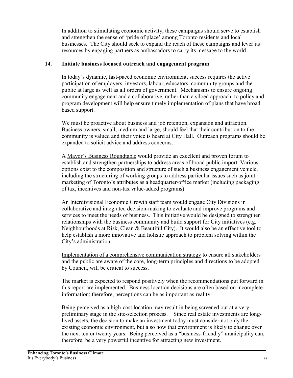In addition to stimulating economic activity, these campaigns should serve to establish and strengthen the sense of 'pride of place' among Toronto residents and local businesses. The City should seek to expand the reach of these campaigns and lever its resources by engaging partners as ambassadors to carry its message to the world.

#### 14. Initiate business focused outreach and engagement program

In today's dynamic, fast-paced economic environment, success requires the active participation of employers, investors, labour, educators, community groups and the public at large as well as all orders of government. Mechanisms to ensure ongoing community engagement and a collaborative, rather than a siloed approach, to policy and program development will help ensure timely implementation of plans that have broad based support.

We must be proactive about business and job retention, expansion and attraction. Business owners, small, medium and large, should feel that their contribution to the community is valued and their voice is heard at City Hall. Outreach programs should be expanded to solicit advice and address concerns.

A Mayor's Business Roundtable would provide an excellent and proven forum to establish and strengthen partnerships to address areas of broad public import. Various options exist to the composition and structure of such a business engagement vehicle, including the structuring of working groups to address particular issues such as joint marketing of Toronto's attributes as a headquarter/office market (including packaging of tax, incentives and non-tax value-added programs).

An Interdivisional Economic Growth staff team would engage City Divisions in collaborative and integrated decision-making to evaluate and improve programs and services to meet the needs of business. This initiative would be designed to strengthen relationships with the business community and build support for City initiatives (e.g. Neighbourhoods at Risk, Clean & Beautiful City). It would also be an effective tool to help establish a more innovative and holistic approach to problem solving within the City's administration.

Implementation of a comprehensive communication strategy to ensure all stakeholders and the public are aware of the core, long-term principles and directions to be adopted by Council, will be critical to success.

The market is expected to respond positively when the recommendations put forward in this report are implemented. Business location decisions are often based on incomplete information; therefore, perceptions can be as important as reality.

Being perceived as a high-cost location may result in being screened out at a very preliminary stage in the site-selection process. Since real estate investments are longlived assets, the decision to make an investment today must consider not only the existing economic environment, but also how that environment is likely to change over the next ten or twenty years. Being perceived as a "business-friendly" municipality can, therefore, be a very powerful incentive for attracting new investment.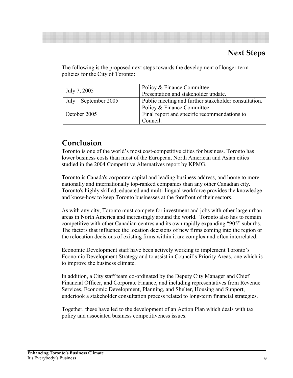The following is the proposed next steps towards the development of longer-term policies for the City of Toronto:

| July 7, 2005            | Policy & Finance Committee<br>Presentation and stakeholder update. |  |  |  |
|-------------------------|--------------------------------------------------------------------|--|--|--|
| $July - September 2005$ | Public meeting and further stakeholder consultation.               |  |  |  |
|                         | Policy & Finance Committee                                         |  |  |  |
| October 2005            | Final report and specific recommendations to                       |  |  |  |
|                         | Council.                                                           |  |  |  |

## Conclusion

Toronto is one of the world's most cost-competitive cities for business. Toronto has lower business costs than most of the European, North American and Asian cities studied in the 2004 Competitive Alternatives report by KPMG.

Toronto is Canada's corporate capital and leading business address, and home to more nationally and internationally top-ranked companies than any other Canadian city. Toronto's highly skilled, educated and multi-lingual workforce provides the knowledge and know-how to keep Toronto businesses at the forefront of their sectors.

As with any city, Toronto must compete for investment and jobs with other large urban areas in North America and increasingly around the world. Toronto also has to remain competitive with other Canadian centres and its own rapidly expanding "905" suburbs. The factors that influence the location decisions of new firms coming into the region or the relocation decisions of existing firms within it are complex and often interrelated.

Economic Development staff have been actively working to implement Toronto's Economic Development Strategy and to assist in Council's Priority Areas, one which is to improve the business climate.

In addition, a City staff team co-ordinated by the Deputy City Manager and Chief Financial Officer, and Corporate Finance, and including representatives from Revenue Services, Economic Development, Planning, and Shelter, Housing and Support, undertook a stakeholder consultation process related to long-term financial strategies.

Together, these have led to the development of an Action Plan which deals with tax policy and associated business competitiveness issues.